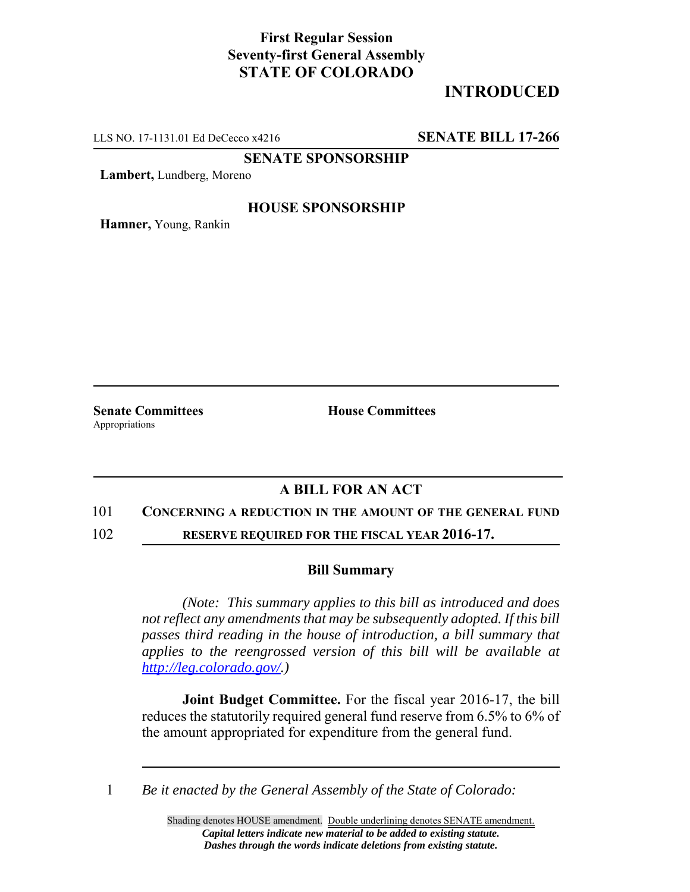## **First Regular Session Seventy-first General Assembly STATE OF COLORADO**

# **INTRODUCED**

LLS NO. 17-1131.01 Ed DeCecco x4216 **SENATE BILL 17-266**

**SENATE SPONSORSHIP**

**Lambert,** Lundberg, Moreno

### **HOUSE SPONSORSHIP**

**Hamner,** Young, Rankin

Appropriations

**Senate Committees House Committees** 

## **A BILL FOR AN ACT**

### 101 **CONCERNING A REDUCTION IN THE AMOUNT OF THE GENERAL FUND**

102 **RESERVE REQUIRED FOR THE FISCAL YEAR 2016-17.**

### **Bill Summary**

*(Note: This summary applies to this bill as introduced and does not reflect any amendments that may be subsequently adopted. If this bill passes third reading in the house of introduction, a bill summary that applies to the reengrossed version of this bill will be available at http://leg.colorado.gov/.)*

**Joint Budget Committee.** For the fiscal year 2016-17, the bill reduces the statutorily required general fund reserve from 6.5% to 6% of the amount appropriated for expenditure from the general fund.

1 *Be it enacted by the General Assembly of the State of Colorado:*